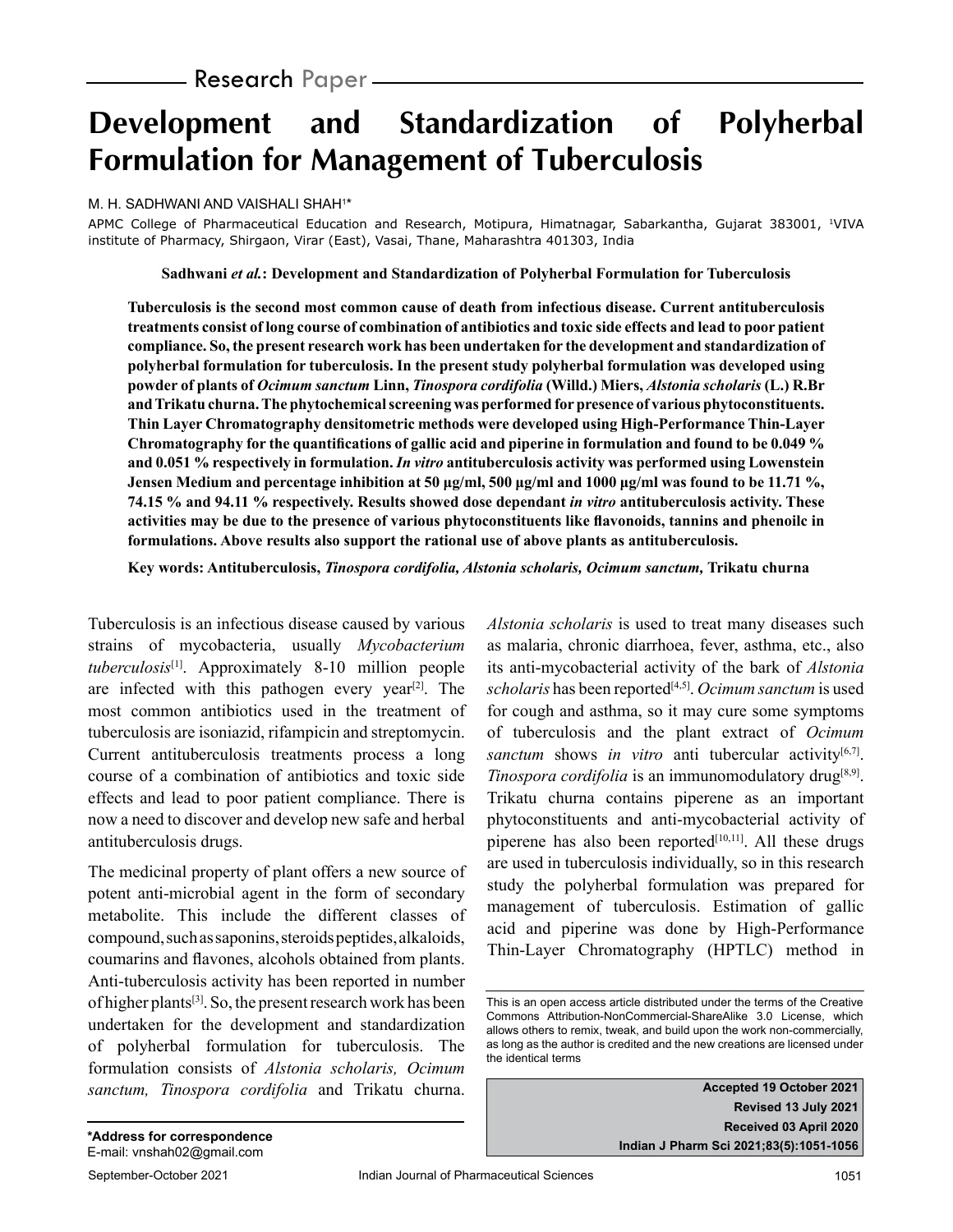# **Development and Standardization of Polyherbal Formulation for Management of Tuberculosis**

#### M. H. SADHWANI AND VAISHALI SHAH1 \*

APMC College of Pharmaceutical Education and Research, Motipura, Himatnagar, Sabarkantha, Gujarat 383001, <sup>1</sup>VIVA institute of Pharmacy, Shirgaon, Virar (East), Vasai, Thane, Maharashtra 401303, India

**Sadhwani** *et al.***: Development and Standardization of Polyherbal Formulation for Tuberculosis**

**Tuberculosis is the second most common cause of death from infectious disease. Current antituberculosis treatments consist of long course of combination of antibiotics and toxic side effects and lead to poor patient compliance. So, the present research work has been undertaken for the development and standardization of polyherbal formulation for tuberculosis. In the present study polyherbal formulation was developed using powder of plants of** *Ocimum sanctum* **Linn,** *Tinospora cordifolia* **(Willd.) Miers,** *Alstonia scholaris* **(L.) R.Br and Trikatu churna. The phytochemical screening was performed for presence of various phytoconstituents. Thin Layer Chromatography densitometric methods were developed using High-Performance Thin-Layer Chromatography for the quantifications of gallic acid and piperine in formulation and found to be 0.049 % and 0.051 % respectively in formulation.** *In vitro* **antituberculosis activity was performed using Lowenstein Jensen Medium and percentage inhibition at 50 μg/ml, 500 μg/ml and 1000 μg/ml was found to be 11.71 %, 74.15 % and 94.11 % respectively. Results showed dose dependant** *in vitro* **antituberculosis activity. These activities may be due to the presence of various phytoconstituents like flavonoids, tannins and phenoilc in formulations. Above results also support the rational use of above plants as antituberculosis.**

**Key words: Antituberculosis,** *Tinospora cordifolia, Alstonia scholaris, Ocimum sanctum,* **Trikatu churna**

Tuberculosis is an infectious disease caused by various strains of mycobacteria, usually *Mycobacterium tuberculosis*[1]. Approximately 8-10 million people are infected with this pathogen every year<sup>[2]</sup>. The most common antibiotics used in the treatment of tuberculosis are isoniazid, rifampicin and streptomycin. Current antituberculosis treatments process a long course of a combination of antibiotics and toxic side effects and lead to poor patient compliance. There is now a need to discover and develop new safe and herbal antituberculosis drugs.

The medicinal property of plant offers a new source of potent anti-microbial agent in the form of secondary metabolite. This include the different classes of compound, such as saponins, steroids peptides, alkaloids, coumarins and flavones, alcohols obtained from plants. Anti-tuberculosis activity has been reported in number of higher plants[3]. So, the present research work has been undertaken for the development and standardization of polyherbal formulation for tuberculosis. The formulation consists of *Alstonia scholaris, Ocimum sanctum, Tinospora cordifolia* and Trikatu churna. *Alstonia scholaris* is used to treat many diseases such as malaria, chronic diarrhoea, fever, asthma, etc., also its anti-mycobacterial activity of the bark of *Alstonia scholaris* has been reported[4,5]. *Ocimum sanctum* is used for cough and asthma, so it may cure some symptoms of tuberculosis and the plant extract of *Ocimum*  sanctum shows *in vitro* anti tubercular activity<sup>[6,7]</sup>. *Tinospora cordifolia* is an immunomodulatory drug<sup>[8,9]</sup>. Trikatu churna contains piperene as an important phytoconstituents and anti-mycobacterial activity of piperene has also been reported $[10,11]$ . All these drugs are used in tuberculosis individually, so in this research study the polyherbal formulation was prepared for management of tuberculosis. Estimation of gallic acid and piperine was done by High-Performance Thin-Layer Chromatography (HPTLC) method in

**Accepted 19 October 2021 Revised 13 July 2021 Received 03 April 2020 Indian J Pharm Sci 2021;83(5):1051-1056**

This is an open access article distributed under the terms of the Creative Commons Attribution-NonCommercial-ShareAlike 3.0 License, which allows others to remix, tweak, and build upon the work non-commercially, as long as the author is credited and the new creations are licensed under the identical terms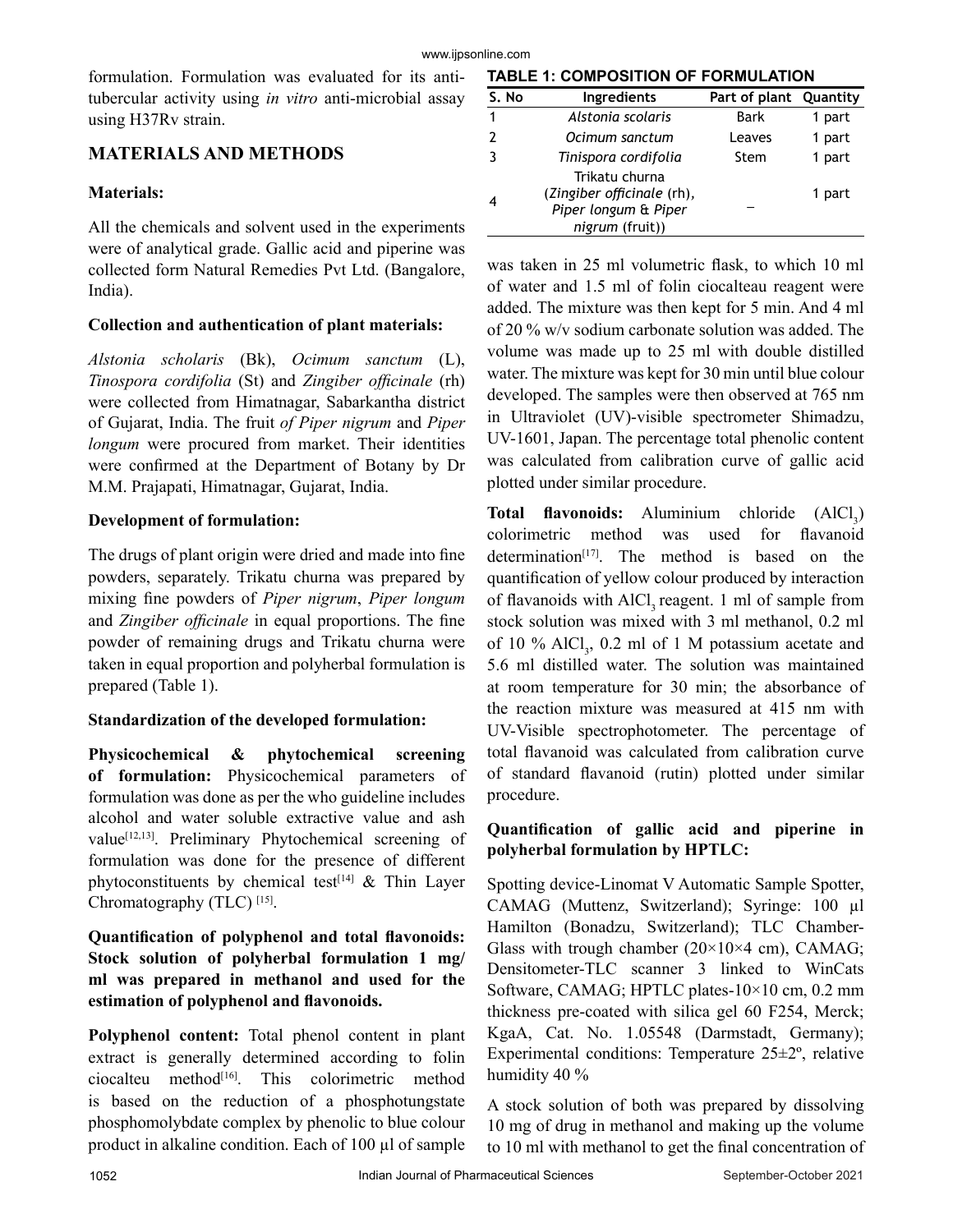formulation. Formulation was evaluated for its antitubercular activity using *in vitro* anti-microbial assay using H37Rv strain.

## **MATERIALS AND METHODS**

#### **Materials:**

All the chemicals and solvent used in the experiments were of analytical grade. Gallic acid and piperine was collected form Natural Remedies Pvt Ltd. (Bangalore, India).

#### **Collection and authentication of plant materials:**

*Alstonia scholaris* (Bk), *Ocimum sanctum* (L), *Tinospora cordifolia* (St) and *Zingiber officinale* (rh) were collected from Himatnagar, Sabarkantha district of Gujarat, India. The fruit *of Piper nigrum* and *Piper longum* were procured from market. Their identities were confirmed at the Department of Botany by Dr M.M. Prajapati, Himatnagar, Gujarat, India.

#### **Development of formulation:**

The drugs of plant origin were dried and made into fine powders, separately. Trikatu churna was prepared by mixing fine powders of *Piper nigrum*, *Piper longum*  and *Zingiber officinale* in equal proportions. The fine powder of remaining drugs and Trikatu churna were taken in equal proportion and polyherbal formulation is prepared (Table 1).

## **Standardization of the developed formulation:**

**Physicochemical & phytochemical screening of formulation:** Physicochemical parameters of formulation was done as per the who guideline includes alcohol and water soluble extractive value and ash value[12,13]. Preliminary Phytochemical screening of formulation was done for the presence of different phytoconstituents by chemical test<sup>[14]</sup>  $\&$  Thin Layer Chromatography (TLC)<sup>[15]</sup>.

## **Quantification of polyphenol and total flavonoids: Stock solution of polyherbal formulation 1 mg/ ml was prepared in methanol and used for the estimation of polyphenol and flavonoids.**

**Polyphenol content:** Total phenol content in plant extract is generally determined according to folin  $ciocalteu$  method<sup>[16]</sup>. This colorimetric method is based on the reduction of a phosphotungstate phosphomolybdate complex by phenolic to blue colour product in alkaline condition. Each of 100 µl of sample

#### **TABLE 1: COMPOSITION OF FORMULATION**

| S. No | <b>Ingredients</b>                                                                      | Part of plant Quantity |        |
|-------|-----------------------------------------------------------------------------------------|------------------------|--------|
|       | Alstonia scolaris                                                                       | Bark                   | 1 part |
|       | Ocimum sanctum                                                                          | Leaves                 | 1 part |
| ર     | Tinispora cordifolia                                                                    | Stem                   | 1 part |
|       | Trikatu churna<br>(Zingiber officinale (rh),<br>Piper longum & Piper<br>nigrum (fruit)) |                        | 1 part |

was taken in 25 ml volumetric flask, to which 10 ml of water and 1.5 ml of folin ciocalteau reagent were added. The mixture was then kept for 5 min. And 4 ml of 20 % w/v sodium carbonate solution was added. The volume was made up to 25 ml with double distilled water. The mixture was kept for 30 min until blue colour developed. The samples were then observed at 765 nm in Ultraviolet (UV)-visible spectrometer Shimadzu, UV-1601, Japan. The percentage total phenolic content was calculated from calibration curve of gallic acid plotted under similar procedure.

**Total flavonoids:** Aluminium chloride (AlCl<sub>3</sub>) colorimetric method was used for flavanoid determination $[17]$ . The method is based on the quantification of yellow colour produced by interaction of flavanoids with AlCl<sub>2</sub> reagent. 1 ml of sample from stock solution was mixed with 3 ml methanol, 0.2 ml of 10 %  $AlCl<sub>3</sub>$ , 0.2 ml of 1 M potassium acetate and 5.6 ml distilled water. The solution was maintained at room temperature for 30 min; the absorbance of the reaction mixture was measured at 415 nm with UV-Visible spectrophotometer. The percentage of total flavanoid was calculated from calibration curve of standard flavanoid (rutin) plotted under similar procedure.

## **Quantification of gallic acid and piperine in polyherbal formulation by HPTLC:**

Spotting device-Linomat V Automatic Sample Spotter, CAMAG (Muttenz, Switzerland); Syringe: 100 µl Hamilton (Bonadzu, Switzerland); TLC Chamber-Glass with trough chamber  $(20\times10\times4$  cm), CAMAG; Densitometer-TLC scanner 3 linked to WinCats Software, CAMAG; HPTLC plates-10×10 cm, 0.2 mm thickness pre-coated with silica gel 60 F254, Merck; KgaA, Cat. No. 1.05548 (Darmstadt, Germany); Experimental conditions: Temperature 25±2º, relative humidity 40 %

A stock solution of both was prepared by dissolving 10 mg of drug in methanol and making up the volume to 10 ml with methanol to get the final concentration of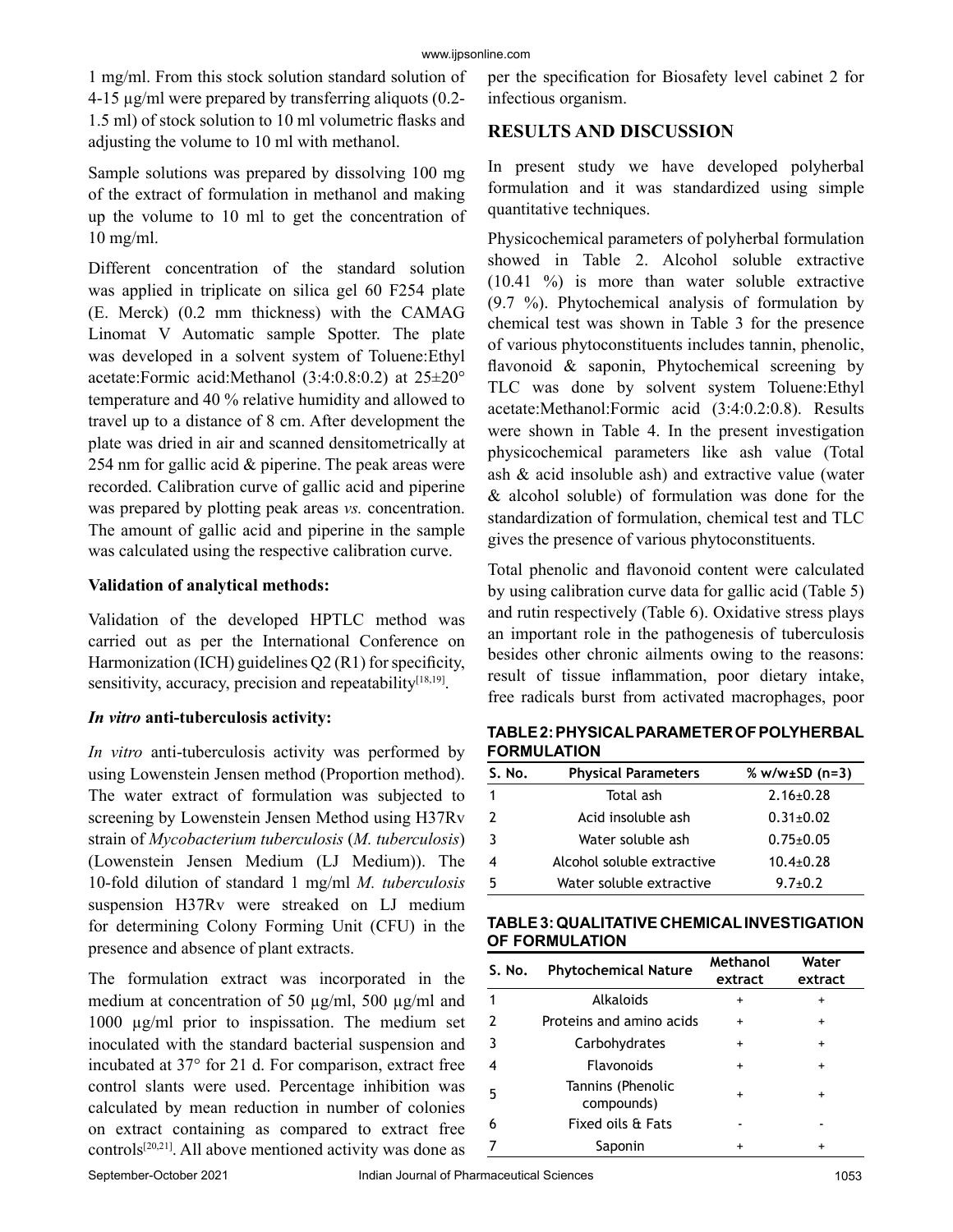1 mg/ml. From this stock solution standard solution of 4-15 µg/ml were prepared by transferring aliquots (0.2- 1.5 ml) of stock solution to 10 ml volumetric flasks and adjusting the volume to 10 ml with methanol.

Sample solutions was prepared by dissolving 100 mg of the extract of formulation in methanol and making up the volume to 10 ml to get the concentration of 10 mg/ml.

Different concentration of the standard solution was applied in triplicate on silica gel 60 F254 plate (E. Merck) (0.2 mm thickness) with the CAMAG Linomat V Automatic sample Spotter. The plate was developed in a solvent system of Toluene:Ethyl acetate:Formic acid:Methanol (3:4:0.8:0.2) at 25±20° temperature and 40 % relative humidity and allowed to travel up to a distance of 8 cm. After development the plate was dried in air and scanned densitometrically at 254 nm for gallic acid & piperine. The peak areas were recorded. Calibration curve of gallic acid and piperine was prepared by plotting peak areas *vs.* concentration. The amount of gallic acid and piperine in the sample was calculated using the respective calibration curve.

## **Validation of analytical methods:**

Validation of the developed HPTLC method was carried out as per the International Conference on Harmonization (ICH) guidelines Q2 (R1) for specificity, sensitivity, accuracy, precision and repeatability<sup>[18,19]</sup>.

## *In vitro* **anti-tuberculosis activity:**

*In vitro* anti-tuberculosis activity was performed by using Lowenstein Jensen method (Proportion method). The water extract of formulation was subjected to screening by Lowenstein Jensen Method using H37Rv strain of *Mycobacterium tuberculosis* (*M. tuberculosis*) (Lowenstein Jensen Medium (LJ Medium)). The 10-fold dilution of standard 1 mg/ml *M. tuberculosis* suspension H37Rv were streaked on LJ medium for determining Colony Forming Unit (CFU) in the presence and absence of plant extracts.

The formulation extract was incorporated in the medium at concentration of 50  $\mu$ g/ml, 500  $\mu$ g/ml and 1000 µg/ml prior to inspissation. The medium set inoculated with the standard bacterial suspension and incubated at 37° for 21 d. For comparison, extract free control slants were used. Percentage inhibition was calculated by mean reduction in number of colonies on extract containing as compared to extract free controls<sup>[20,21]</sup>. All above mentioned activity was done as per the specification for Biosafety level cabinet 2 for infectious organism.

## **RESULTS AND DISCUSSION**

In present study we have developed polyherbal formulation and it was standardized using simple quantitative techniques.

Physicochemical parameters of polyherbal formulation showed in Table 2. Alcohol soluble extractive (10.41 %) is more than water soluble extractive (9.7 %). Phytochemical analysis of formulation by chemical test was shown in Table 3 for the presence of various phytoconstituents includes tannin, phenolic, flavonoid & saponin, Phytochemical screening by TLC was done by solvent system Toluene:Ethyl acetate:Methanol:Formic acid (3:4:0.2:0.8). Results were shown in Table 4. In the present investigation physicochemical parameters like ash value (Total ash & acid insoluble ash) and extractive value (water & alcohol soluble) of formulation was done for the standardization of formulation, chemical test and TLC gives the presence of various phytoconstituents.

Total phenolic and flavonoid content were calculated by using calibration curve data for gallic acid (Table 5) and rutin respectively (Table 6). Oxidative stress plays an important role in the pathogenesis of tuberculosis besides other chronic ailments owing to the reasons: result of tissue inflammation, poor dietary intake, free radicals burst from activated macrophages, poor

**TABLE 2: PHYSICAL PARAMETER OF POLYHERBAL FORMULATION**

| S. No. | <b>Physical Parameters</b> | % $w/w \pm SD$ (n=3) |
|--------|----------------------------|----------------------|
|        | Total ash                  | $2.16 \pm 0.28$      |
| 2      | Acid insoluble ash         | $0.31 \pm 0.02$      |
| -3     | Water soluble ash          | $0.75 \pm 0.05$      |
|        | Alcohol soluble extractive | $10.4 + 0.28$        |
| 5      | Water soluble extractive   | $9.7 \pm 0.2$        |

#### **TABLE 3: QUALITATIVE CHEMICAL INVESTIGATION OF FORMULATION**

| S. No.        | <b>Phytochemical Nature</b>     | Methanol<br>extract | Water<br>extract |
|---------------|---------------------------------|---------------------|------------------|
|               | Alkaloids                       | +                   | $\ddot{}$        |
| $\mathcal{P}$ | Proteins and amino acids        | $\ddot{}$           | $\ddot{}$        |
| 3             | Carbohydrates                   | $\ddot{}$           | $\ddot{}$        |
|               | <b>Flavonoids</b>               | $\div$              | $\ddot{}$        |
| 5             | Tannins (Phenolic<br>compounds) | $\ddot{}$           | $\ddot{}$        |
| 6             | Fixed oils & Fats               |                     |                  |
|               | Saponin                         |                     |                  |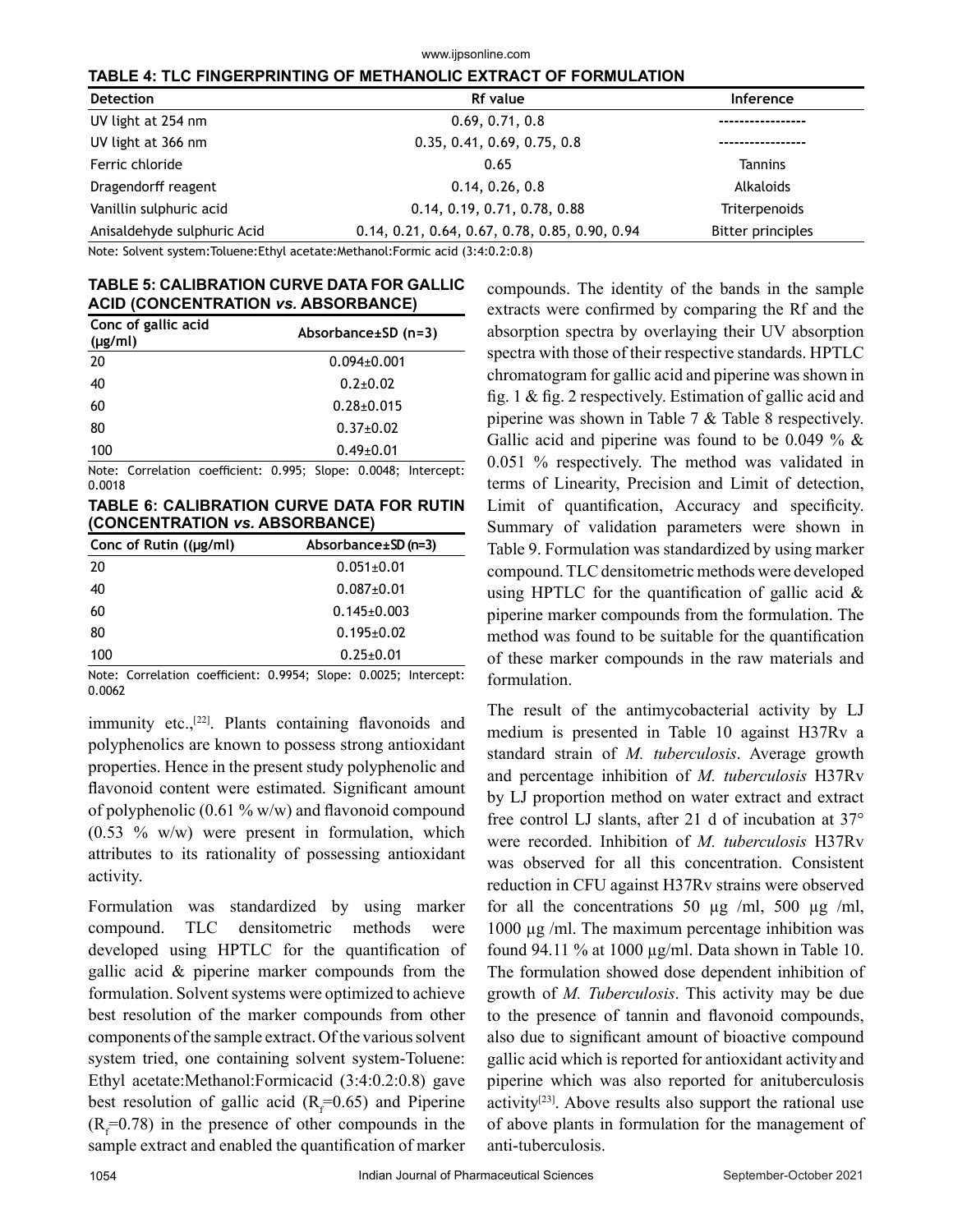| TABLE 4: TLC FINGERPRINTING OF METHANOLIC EXTRACT OF FORMULATION |                                                |                          |  |  |
|------------------------------------------------------------------|------------------------------------------------|--------------------------|--|--|
| <b>Detection</b>                                                 | <b>Rf</b> value                                | Inference                |  |  |
| UV light at 254 nm                                               | 0.69, 0.71, 0.8                                |                          |  |  |
| UV light at 366 nm                                               | 0.35, 0.41, 0.69, 0.75, 0.8                    |                          |  |  |
| Ferric chloride                                                  | 0.65                                           | <b>Tannins</b>           |  |  |
| Dragendorff reagent                                              | 0.14, 0.26, 0.8                                | Alkaloids                |  |  |
| Vanillin sulphuric acid                                          | 0.14, 0.19, 0.71, 0.78, 0.88                   | Triterpenoids            |  |  |
| Anisaldehyde sulphuric Acid                                      | 0.14, 0.21, 0.64, 0.67, 0.78, 0.85, 0.90, 0.94 | <b>Bitter principles</b> |  |  |

www.ijpsonline.com

Note: Solvent system:Toluene:Ethyl acetate:Methanol:Formic acid (3:4:0.2:0.8)

#### **TABLE 5: CALIBRATION CURVE DATA FOR GALLIC ACID (CONCENTRATION** *vs.* **ABSORBANCE)**

| Conc of gallic acid<br>$(\mu g/ml)$ | Absorbance±SD (n=3) |  |  |
|-------------------------------------|---------------------|--|--|
| 20                                  | $0.094 \pm 0.001$   |  |  |
| 40                                  | $0.2 + 0.02$        |  |  |
| 60                                  | $0.28 \pm 0.015$    |  |  |
| 80                                  | $0.37 \pm 0.02$     |  |  |
| 100                                 | $0.49 \pm 0.01$     |  |  |

Note: Correlation coefficient: 0.995; Slope: 0.0048; Intercept: 0.0018

**TABLE 6: CALIBRATION CURVE DATA FOR RUTIN (CONCENTRATION** *vs.* **ABSORBANCE)**

| Conc of Rutin $((\mu g/ml))$ | Absorbance $\pm$ SD (n=3) |  |  |
|------------------------------|---------------------------|--|--|
| 20                           | $0.051 \pm 0.01$          |  |  |
| 40                           | $0.087 \pm 0.01$          |  |  |
| 60                           | $0.145 \pm 0.003$         |  |  |
| 80                           | $0.195 \pm 0.02$          |  |  |
| 100                          | $0.25 \pm 0.01$           |  |  |

Note: Correlation coefficient: 0.9954; Slope: 0.0025; Intercept: 0.0062

immunity etc.,<sup>[22]</sup>. Plants containing flavonoids and polyphenolics are known to possess strong antioxidant properties. Hence in the present study polyphenolic and flavonoid content were estimated. Significant amount of polyphenolic  $(0.61 \% \text{ w/w})$  and flavonoid compound  $(0.53 \, %$  w/w) were present in formulation, which attributes to its rationality of possessing antioxidant activity.

Formulation was standardized by using marker compound. TLC densitometric methods were developed using HPTLC for the quantification of gallic acid & piperine marker compounds from the formulation. Solvent systems were optimized to achieve best resolution of the marker compounds from other components of the sample extract. Of the various solvent system tried, one containing solvent system-Toluene: Ethyl acetate:Methanol:Formicacid (3:4:0.2:0.8) gave best resolution of gallic acid  $(R_f=0.65)$  and Piperine  $(R_f=0.78)$  in the presence of other compounds in the sample extract and enabled the quantification of marker

compounds. The identity of the bands in the sample extracts were confirmed by comparing the Rf and the absorption spectra by overlaying their UV absorption spectra with those of their respective standards. HPTLC chromatogram for gallic acid and piperine was shown in fig. 1 & fig. 2 respectively. Estimation of gallic acid and piperine was shown in Table 7 & Table 8 respectively. Gallic acid and piperine was found to be 0.049 %  $\&$ 0.051 % respectively. The method was validated in terms of Linearity, Precision and Limit of detection, Limit of quantification, Accuracy and specificity. Summary of validation parameters were shown in Table 9. Formulation was standardized by using marker compound. TLC densitometric methods were developed using HPTLC for the quantification of gallic acid  $\&$ piperine marker compounds from the formulation. The method was found to be suitable for the quantification of these marker compounds in the raw materials and formulation.

The result of the antimycobacterial activity by LJ medium is presented in Table 10 against H37Rv a standard strain of *M. tuberculosis*. Average growth and percentage inhibition of *M. tuberculosis* H37Rv by LJ proportion method on water extract and extract free control LJ slants, after 21 d of incubation at 37° were recorded. Inhibition of *M. tuberculosis* H37Rv was observed for all this concentration. Consistent reduction in CFU against H37Rv strains were observed for all the concentrations 50  $\mu$ g /ml, 500  $\mu$ g /ml, 1000 µg /ml. The maximum percentage inhibition was found 94.11 % at 1000 µg/ml. Data shown in Table 10. The formulation showed dose dependent inhibition of growth of *M. Tuberculosis*. This activity may be due to the presence of tannin and flavonoid compounds, also due to significant amount of bioactive compound gallic acid which is reported for antioxidant activityand piperine which was also reported for anituberculosis activity<sup>[23]</sup>. Above results also support the rational use of above plants in formulation for the management of anti-tuberculosis.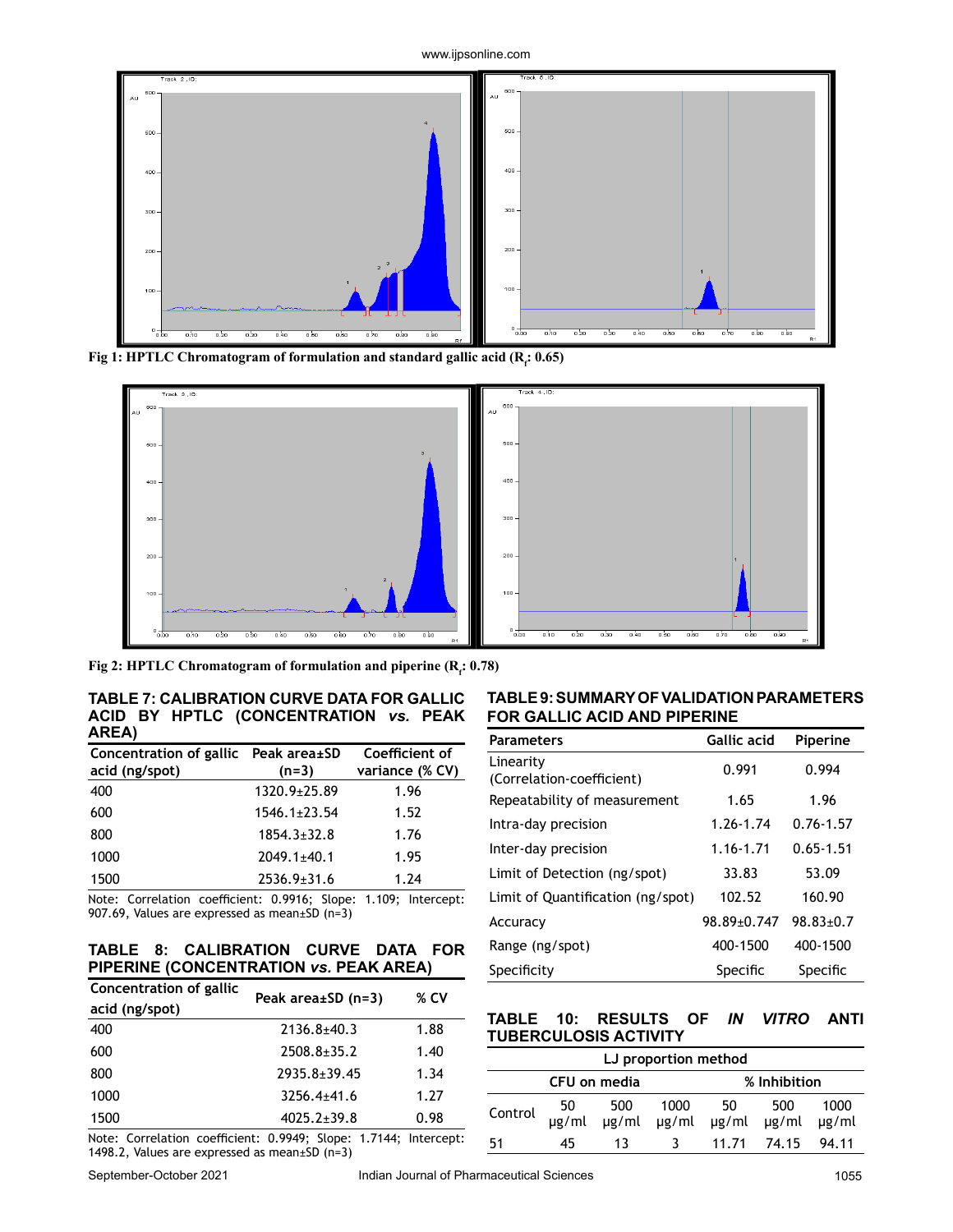

**Fig 1: HPTLC Chromatogram of formulation and standard gallic acid (R<sup>f</sup> : 0.65)**



Fig 2: **HPTLC Chromatogram of formulation and piperine (R<sub>i</sub>: 0.78)** 

**TABLE 7: CALIBRATION CURVE DATA FOR GALLIC ACID BY HPTLC (CONCENTRATION** *vs.* **PEAK AREA)**

| Concentration of gallic Peak area±SD<br>acid (ng/spot) | $(n=3)$            | Coefficient of<br>variance (% CV) |
|--------------------------------------------------------|--------------------|-----------------------------------|
| 400                                                    | 1320.9±25.89       | 1.96                              |
| 600                                                    | $1546.1 \pm 23.54$ | 1.52                              |
| 800                                                    | $1854.3 \pm 32.8$  | 1.76                              |
| 1000                                                   | $2049.1 \pm 40.1$  | 1.95                              |
| 1500                                                   | $2536.9 \pm 31.6$  | 1.24                              |

Note: Correlation coefficient: 0.9916; Slope: 1.109; Intercept: 907.69, Values are expressed as mean±SD (n=3)

#### **TABLE 8: CALIBRATION CURVE DATA FOR PIPERINE (CONCENTRATION** *vs.* **PEAK AREA)**

| Concentration of gallic                                                                                                                                                                                                                                                                                            | Peak area±SD (n=3) | % CV |
|--------------------------------------------------------------------------------------------------------------------------------------------------------------------------------------------------------------------------------------------------------------------------------------------------------------------|--------------------|------|
| acid (ng/spot)                                                                                                                                                                                                                                                                                                     |                    |      |
| 400                                                                                                                                                                                                                                                                                                                | $2136.8 + 40.3$    | 1.88 |
| 600                                                                                                                                                                                                                                                                                                                | $2508.8 \pm 35.2$  | 1.40 |
| 800                                                                                                                                                                                                                                                                                                                | $2935.8 \pm 39.45$ | 1.34 |
| 1000                                                                                                                                                                                                                                                                                                               | $3256.4 + 41.6$    | 1.27 |
| 1500                                                                                                                                                                                                                                                                                                               | $4025.2 \pm 39.8$  | 0.98 |
| $\mathbf{M}$ . The contract of the contract of $\mathbf{A}$ $\mathbf{A}$ $\mathbf{A}$ $\mathbf{A}$ $\mathbf{A}$ $\mathbf{A}$ $\mathbf{A}$ $\mathbf{A}$ $\mathbf{A}$ $\mathbf{A}$ $\mathbf{A}$ $\mathbf{A}$ $\mathbf{A}$ $\mathbf{A}$ $\mathbf{A}$ $\mathbf{A}$ $\mathbf{A}$ $\mathbf{A}$ $\mathbf{A}$ $\mathbf{A}$ |                    |      |

Note: Correlation coefficient: 0.9949; Slope: 1.7144; Intercept: 1498.2, Values are expressed as mean±SD (n=3)

**TABLE 9: SUMMARY OF VALIDATION PARAMETERS FOR GALLIC ACID AND PIPERINE**

| <b>Parameters</b>                      | <b>Gallic acid</b> | Piperine        |
|----------------------------------------|--------------------|-----------------|
| Linearity<br>(Correlation-coefficient) | 0.991              | 0.994           |
| Repeatability of measurement           | 1.65               | 1.96            |
| Intra-day precision                    | 1.26-1.74          | $0.76 - 1.57$   |
| Inter-day precision                    | 1.16-1.71          | $0.65 - 1.51$   |
| Limit of Detection (ng/spot)           | 33.83              | 53.09           |
| Limit of Quantification (ng/spot)      | 102.52             | 160.90          |
| Accuracy                               | 98.89±0.747        | $98.83 \pm 0.7$ |
| Range (ng/spot)                        | 400-1500           | 400-1500        |
| Specificity                            | Specific           | Specific        |

#### **TABLE 10: RESULTS OF** *IN VITRO* **ANTI TUBERCULOSIS ACTIVITY**

| LJ proportion method         |             |    |    |                                                       |             |       |
|------------------------------|-------------|----|----|-------------------------------------------------------|-------------|-------|
| CFU on media<br>% Inhibition |             |    |    |                                                       |             |       |
| Control                      | 50<br>ug/ml |    |    | 500 1000 50 500 1000<br>1g/ml µg/ml µg/ml µg/ml µg/ml |             |       |
| 51                           | 45          | 13 | -3 |                                                       | 11.71 74.15 | 94.11 |